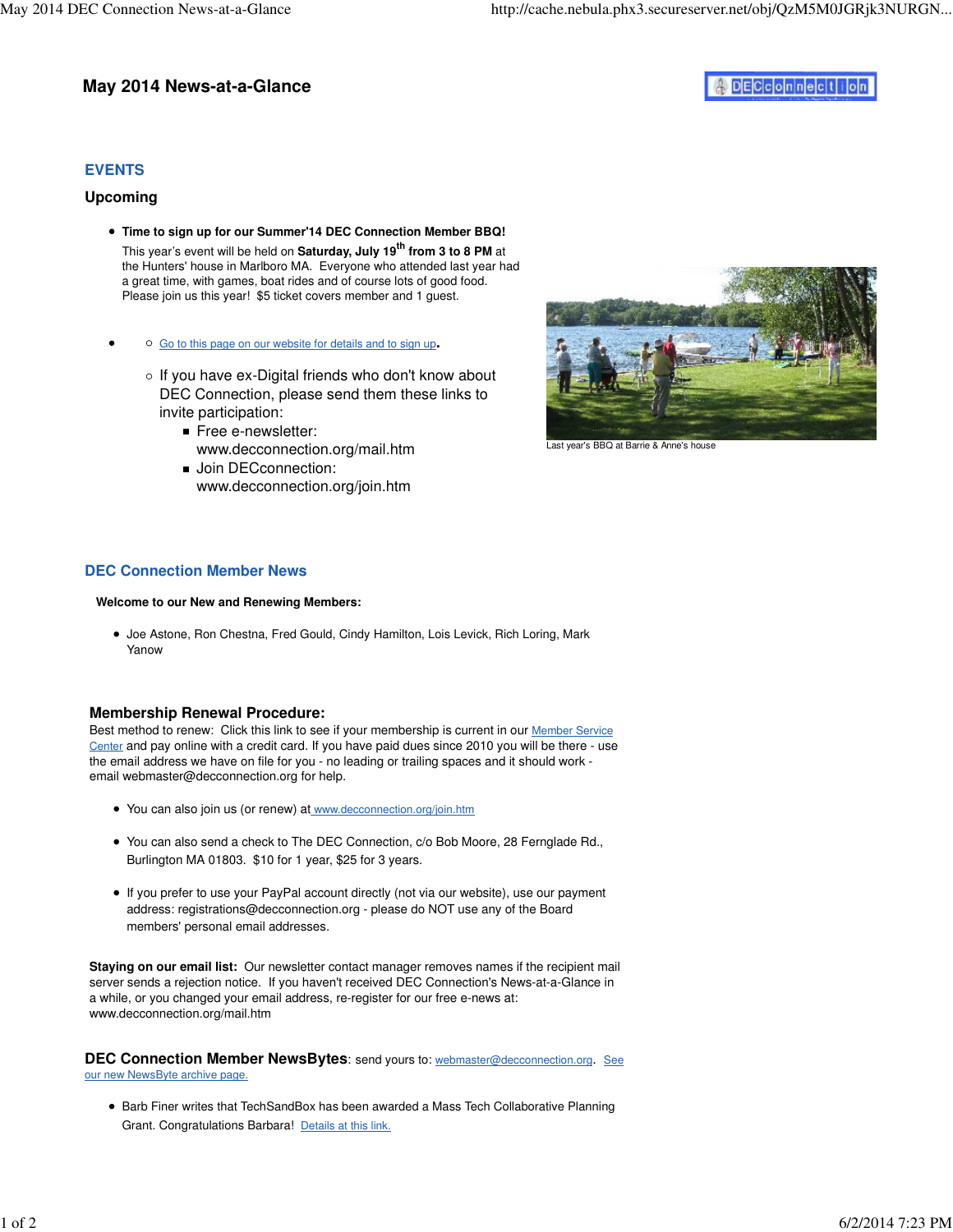# **May 2014 News-at-a-Glance**

# ADECCOMMeCLIOM

# **EVENTS**

## **Upcoming**

- **Time to sign up for our Summer'14 DEC Connection Member BBQ!**  This year's event will be held on **Saturday, July 19th from 3 to 8 PM** at the Hunters' house in Marlboro MA. Everyone who attended last year had a great time, with games, boat rides and of course lots of good food. Please join us this year! \$5 ticket covers member and 1 guest.
- Go to this page on our website for details and to sign up**.**
	- $\circ$  If you have ex-Digital friends who don't know about DEC Connection, please send them these links to invite participation:
		- Free e-newsletter: www.decconnection.org/mail.htm
		- **Join DECconnection:** www.decconnection.org/join.htm



Last year's BBQ at Barrie & Anne's house

#### **DEC Connection Member News**

#### **Welcome to our New and Renewing Members:**

Joe Astone, Ron Chestna, Fred Gould, Cindy Hamilton, Lois Levick, Rich Loring, Mark Yanow

## **Membership Renewal Procedure:**

Best method to renew: Click this link to see if your membership is current in our Member Service Center and pay online with a credit card. If you have paid dues since 2010 you will be there - use the email address we have on file for you - no leading or trailing spaces and it should work email webmaster@decconnection.org for help.

- You can also join us (or renew) at www.decconnection.org/join.htm
- You can also send a check to The DEC Connection, c/o Bob Moore, 28 Fernglade Rd., Burlington MA 01803. \$10 for 1 year, \$25 for 3 years.
- If you prefer to use your PayPal account directly (not via our website), use our payment address: registrations@decconnection.org - please do NOT use any of the Board members' personal email addresses.

**Staying on our email list:** Our newsletter contact manager removes names if the recipient mail server sends a rejection notice. If you haven't received DEC Connection's News-at-a-Glance in a while, or you changed your email address, re-register for our free e-news at: www.decconnection.org/mail.htm

**DEC Connection Member NewsBytes**: send yours to: webmaster@decconnection.org. See our new NewsByte archive page.

**• Barb Finer writes that TechSandBox has been awarded a Mass Tech Collaborative Planning** Grant. Congratulations Barbara! Details at this link.